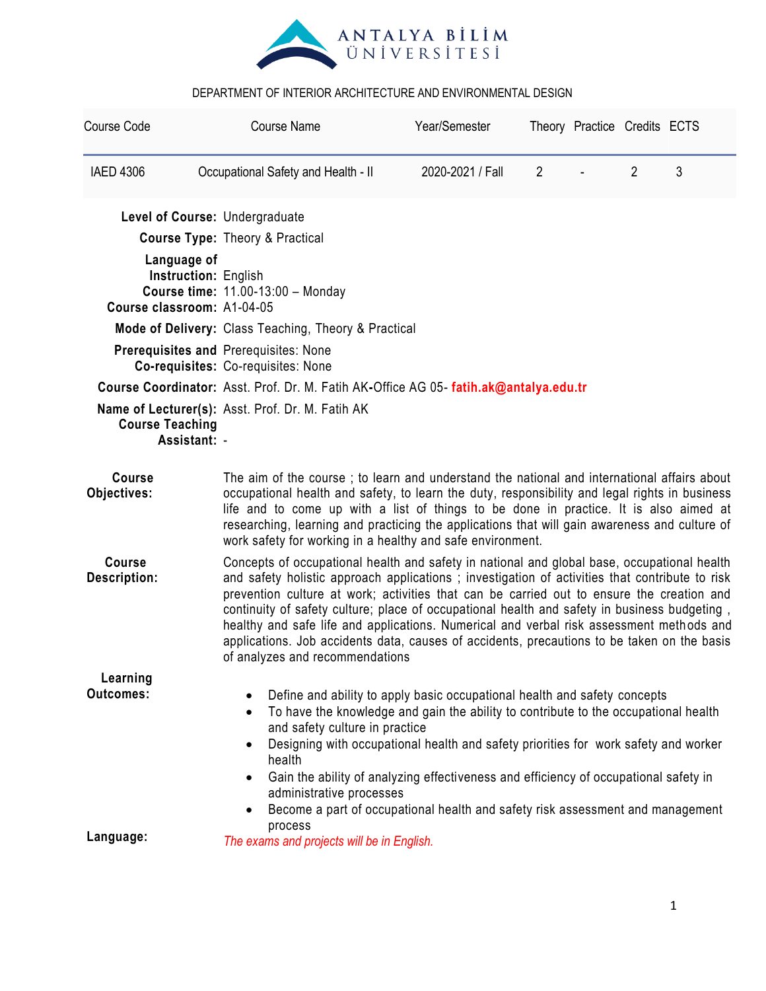

| Course Code                                                                                                                                                                                                                                                                                                                                                                                                                                                                                                                                | <b>Course Name</b>                                                                                                                                                                                                                                                                                                                                                                                                                                                                                                                                                                                                       | Year/Semester                                                                         |                | Theory Practice Credits ECTS |                |   |  |  |
|--------------------------------------------------------------------------------------------------------------------------------------------------------------------------------------------------------------------------------------------------------------------------------------------------------------------------------------------------------------------------------------------------------------------------------------------------------------------------------------------------------------------------------------------|--------------------------------------------------------------------------------------------------------------------------------------------------------------------------------------------------------------------------------------------------------------------------------------------------------------------------------------------------------------------------------------------------------------------------------------------------------------------------------------------------------------------------------------------------------------------------------------------------------------------------|---------------------------------------------------------------------------------------|----------------|------------------------------|----------------|---|--|--|
| <b>IAED 4306</b>                                                                                                                                                                                                                                                                                                                                                                                                                                                                                                                           | Occupational Safety and Health - II                                                                                                                                                                                                                                                                                                                                                                                                                                                                                                                                                                                      | 2020-2021 / Fall                                                                      | $\overline{2}$ |                              | $\overline{2}$ | 3 |  |  |
| Level of Course: Undergraduate                                                                                                                                                                                                                                                                                                                                                                                                                                                                                                             |                                                                                                                                                                                                                                                                                                                                                                                                                                                                                                                                                                                                                          |                                                                                       |                |                              |                |   |  |  |
|                                                                                                                                                                                                                                                                                                                                                                                                                                                                                                                                            | <b>Course Type: Theory &amp; Practical</b>                                                                                                                                                                                                                                                                                                                                                                                                                                                                                                                                                                               |                                                                                       |                |                              |                |   |  |  |
| Language of<br>Instruction: English<br><b>Course time: 11.00-13:00 - Monday</b><br>Course classroom: A1-04-05                                                                                                                                                                                                                                                                                                                                                                                                                              |                                                                                                                                                                                                                                                                                                                                                                                                                                                                                                                                                                                                                          |                                                                                       |                |                              |                |   |  |  |
|                                                                                                                                                                                                                                                                                                                                                                                                                                                                                                                                            |                                                                                                                                                                                                                                                                                                                                                                                                                                                                                                                                                                                                                          | Mode of Delivery: Class Teaching, Theory & Practical                                  |                |                              |                |   |  |  |
|                                                                                                                                                                                                                                                                                                                                                                                                                                                                                                                                            | <b>Prerequisites and Prerequisites: None</b><br>Co-requisites: Co-requisites: None                                                                                                                                                                                                                                                                                                                                                                                                                                                                                                                                       |                                                                                       |                |                              |                |   |  |  |
|                                                                                                                                                                                                                                                                                                                                                                                                                                                                                                                                            |                                                                                                                                                                                                                                                                                                                                                                                                                                                                                                                                                                                                                          | Course Coordinator: Asst. Prof. Dr. M. Fatih AK-Office AG 05- fatih.ak@antalya.edu.tr |                |                              |                |   |  |  |
| <b>Course Teaching</b><br>Assistant: -                                                                                                                                                                                                                                                                                                                                                                                                                                                                                                     | Name of Lecturer(s): Asst. Prof. Dr. M. Fatih AK                                                                                                                                                                                                                                                                                                                                                                                                                                                                                                                                                                         |                                                                                       |                |                              |                |   |  |  |
| <b>Course</b><br>Objectives:                                                                                                                                                                                                                                                                                                                                                                                                                                                                                                               | The aim of the course; to learn and understand the national and international affairs about<br>occupational health and safety, to learn the duty, responsibility and legal rights in business<br>life and to come up with a list of things to be done in practice. It is also aimed at<br>researching, learning and practicing the applications that will gain awareness and culture of<br>work safety for working in a healthy and safe environment.                                                                                                                                                                    |                                                                                       |                |                              |                |   |  |  |
| <b>Course</b><br><b>Description:</b>                                                                                                                                                                                                                                                                                                                                                                                                                                                                                                       | Concepts of occupational health and safety in national and global base, occupational health<br>and safety holistic approach applications; investigation of activities that contribute to risk<br>prevention culture at work; activities that can be carried out to ensure the creation and<br>continuity of safety culture; place of occupational health and safety in business budgeting,<br>healthy and safe life and applications. Numerical and verbal risk assessment methods and<br>applications. Job accidents data, causes of accidents, precautions to be taken on the basis<br>of analyzes and recommendations |                                                                                       |                |                              |                |   |  |  |
| Learning                                                                                                                                                                                                                                                                                                                                                                                                                                                                                                                                   |                                                                                                                                                                                                                                                                                                                                                                                                                                                                                                                                                                                                                          |                                                                                       |                |                              |                |   |  |  |
| <b>Outcomes:</b><br>Define and ability to apply basic occupational health and safety concepts<br>To have the knowledge and gain the ability to contribute to the occupational health<br>and safety culture in practice<br>Designing with occupational health and safety priorities for work safety and worker<br>health<br>Gain the ability of analyzing effectiveness and efficiency of occupational safety in<br>$\bullet$<br>administrative processes<br>Become a part of occupational health and safety risk assessment and management |                                                                                                                                                                                                                                                                                                                                                                                                                                                                                                                                                                                                                          |                                                                                       |                |                              |                |   |  |  |
| Language:                                                                                                                                                                                                                                                                                                                                                                                                                                                                                                                                  | process<br>The exams and projects will be in English.                                                                                                                                                                                                                                                                                                                                                                                                                                                                                                                                                                    |                                                                                       |                |                              |                |   |  |  |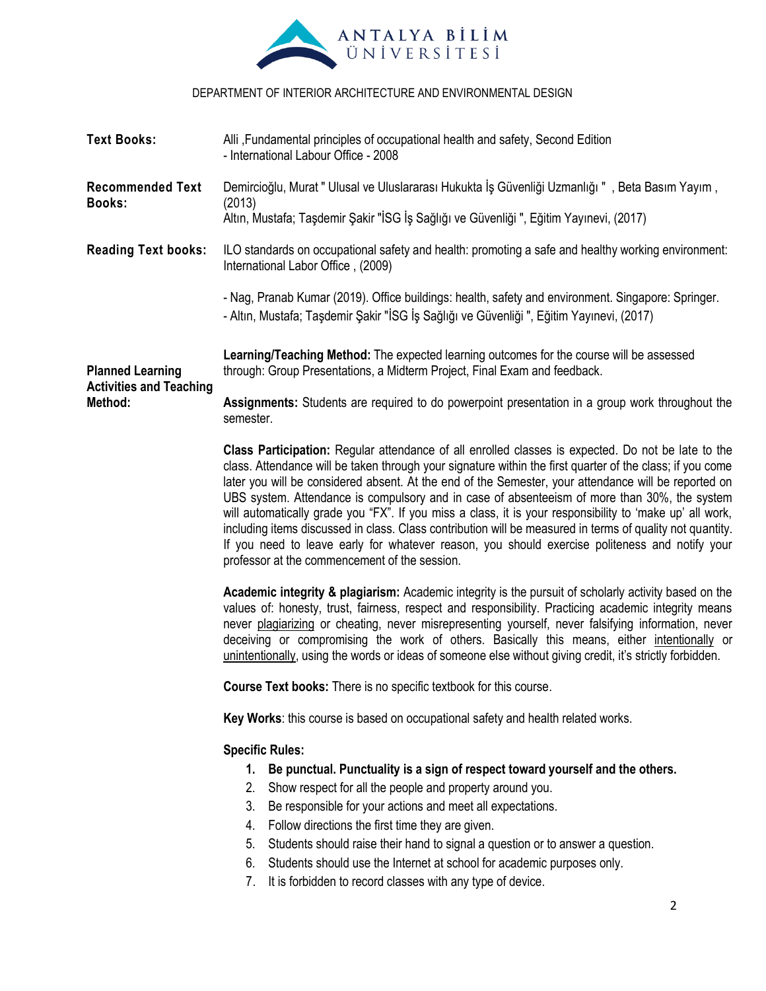

| <b>Text Books:</b>                                                                                                                                                                                                                                                                                                                                                                                                                                                                                                                                                                                                                                                                                                                                                                                  | Alli, Fundamental principles of occupational health and safety, Second Edition<br>- International Labour Office - 2008                                                                                                                                                                                                                                                                                                                                                                                                                                    |  |  |  |  |
|-----------------------------------------------------------------------------------------------------------------------------------------------------------------------------------------------------------------------------------------------------------------------------------------------------------------------------------------------------------------------------------------------------------------------------------------------------------------------------------------------------------------------------------------------------------------------------------------------------------------------------------------------------------------------------------------------------------------------------------------------------------------------------------------------------|-----------------------------------------------------------------------------------------------------------------------------------------------------------------------------------------------------------------------------------------------------------------------------------------------------------------------------------------------------------------------------------------------------------------------------------------------------------------------------------------------------------------------------------------------------------|--|--|--|--|
| <b>Recommended Text</b><br><b>Books:</b>                                                                                                                                                                                                                                                                                                                                                                                                                                                                                                                                                                                                                                                                                                                                                            | , Demircioğlu, Murat " Ulusal ve Uluslararası Hukukta İş Güvenliği Uzmanlığı ", Beta Basım Yayım<br>(2013)<br>Altın, Mustafa; Taşdemir Şakir "İSG İş Sağlığı ve Güvenliği ", Eğitim Yayınevi, (2017)                                                                                                                                                                                                                                                                                                                                                      |  |  |  |  |
| <b>Reading Text books:</b>                                                                                                                                                                                                                                                                                                                                                                                                                                                                                                                                                                                                                                                                                                                                                                          | ILO standards on occupational safety and health: promoting a safe and healthy working environment:<br>International Labor Office, (2009)                                                                                                                                                                                                                                                                                                                                                                                                                  |  |  |  |  |
|                                                                                                                                                                                                                                                                                                                                                                                                                                                                                                                                                                                                                                                                                                                                                                                                     | - Nag, Pranab Kumar (2019). Office buildings: health, safety and environment. Singapore: Springer.<br>- Altın, Mustafa; Taşdemir Şakir "İSG İş Sağlığı ve Güvenliği ", Eğitim Yayınevi, (2017)                                                                                                                                                                                                                                                                                                                                                            |  |  |  |  |
| <b>Planned Learning</b>                                                                                                                                                                                                                                                                                                                                                                                                                                                                                                                                                                                                                                                                                                                                                                             | Learning/Teaching Method: The expected learning outcomes for the course will be assessed<br>through: Group Presentations, a Midterm Project, Final Exam and feedback.                                                                                                                                                                                                                                                                                                                                                                                     |  |  |  |  |
| <b>Activities and Teaching</b><br>Method:                                                                                                                                                                                                                                                                                                                                                                                                                                                                                                                                                                                                                                                                                                                                                           | Assignments: Students are required to do powerpoint presentation in a group work throughout the<br>semester.                                                                                                                                                                                                                                                                                                                                                                                                                                              |  |  |  |  |
| Class Participation: Regular attendance of all enrolled classes is expected. Do not be late to the<br>class. Attendance will be taken through your signature within the first quarter of the class; if you come<br>later you will be considered absent. At the end of the Semester, your attendance will be reported on<br>UBS system. Attendance is compulsory and in case of absenteeism of more than 30%, the system<br>will automatically grade you "FX". If you miss a class, it is your responsibility to 'make up' all work,<br>including items discussed in class. Class contribution will be measured in terms of quality not quantity.<br>If you need to leave early for whatever reason, you should exercise politeness and notify your<br>professor at the commencement of the session. |                                                                                                                                                                                                                                                                                                                                                                                                                                                                                                                                                           |  |  |  |  |
|                                                                                                                                                                                                                                                                                                                                                                                                                                                                                                                                                                                                                                                                                                                                                                                                     | Academic integrity & plagiarism: Academic integrity is the pursuit of scholarly activity based on the<br>values of: honesty, trust, fairness, respect and responsibility. Practicing academic integrity means<br>never plagiarizing or cheating, never misrepresenting yourself, never falsifying information, never<br>deceiving or compromising the work of others. Basically this means, either intentionally or<br>unintentionally, using the words or ideas of someone else without giving credit, it's strictly forbidden.                          |  |  |  |  |
|                                                                                                                                                                                                                                                                                                                                                                                                                                                                                                                                                                                                                                                                                                                                                                                                     | Course Text books: There is no specific textbook for this course.                                                                                                                                                                                                                                                                                                                                                                                                                                                                                         |  |  |  |  |
|                                                                                                                                                                                                                                                                                                                                                                                                                                                                                                                                                                                                                                                                                                                                                                                                     | Key Works: this course is based on occupational safety and health related works.                                                                                                                                                                                                                                                                                                                                                                                                                                                                          |  |  |  |  |
|                                                                                                                                                                                                                                                                                                                                                                                                                                                                                                                                                                                                                                                                                                                                                                                                     | <b>Specific Rules:</b><br>Be punctual. Punctuality is a sign of respect toward yourself and the others.<br>1.<br>Show respect for all the people and property around you.<br>2.<br>3.<br>Be responsible for your actions and meet all expectations.<br>Follow directions the first time they are given.<br>4.<br>Students should raise their hand to signal a question or to answer a question.<br>5.<br>Students should use the Internet at school for academic purposes only.<br>6.<br>It is forbidden to record classes with any type of device.<br>7. |  |  |  |  |
|                                                                                                                                                                                                                                                                                                                                                                                                                                                                                                                                                                                                                                                                                                                                                                                                     | 2                                                                                                                                                                                                                                                                                                                                                                                                                                                                                                                                                         |  |  |  |  |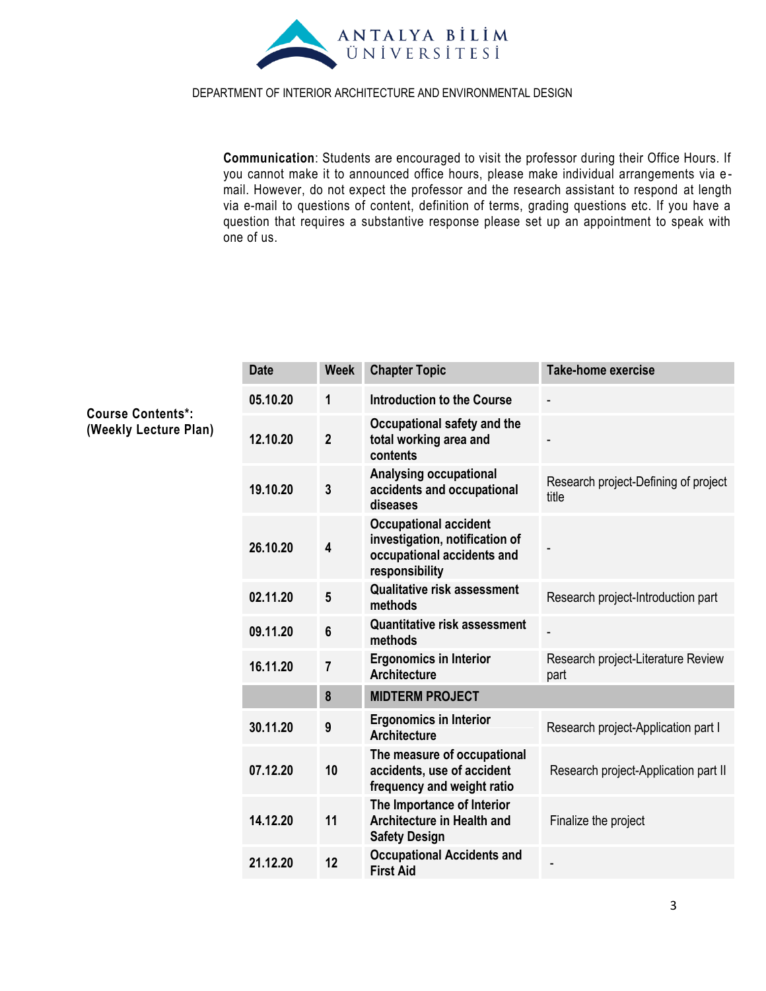

**Communication**: Students are encouraged to visit the professor during their Office Hours. If you cannot make it to announced office hours, please make individual arrangements via e mail. However, do not expect the professor and the research assistant to respond at length via e-mail to questions of content, definition of terms, grading questions etc. If you have a question that requires a substantive response please set up an appointment to speak with one of us.

| <b>Date</b> | <b>Week</b>    | <b>Chapter Topic</b>                                                                                           | <b>Take-home exercise</b>                     |
|-------------|----------------|----------------------------------------------------------------------------------------------------------------|-----------------------------------------------|
| 05.10.20    | 1              | <b>Introduction to the Course</b>                                                                              |                                               |
| 12.10.20    | $\overline{2}$ | Occupational safety and the<br>total working area and<br>contents                                              |                                               |
| 19.10.20    | 3              | <b>Analysing occupational</b><br>accidents and occupational<br>diseases                                        | Research project-Defining of project<br>title |
| 26.10.20    | 4              | <b>Occupational accident</b><br>investigation, notification of<br>occupational accidents and<br>responsibility |                                               |
| 02.11.20    | 5              | <b>Qualitative risk assessment</b><br>methods                                                                  | Research project-Introduction part            |
| 09.11.20    | 6              | <b>Quantitative risk assessment</b><br>methods                                                                 |                                               |
| 16.11.20    | $\overline{7}$ | <b>Ergonomics in Interior</b><br><b>Architecture</b>                                                           | Research project-Literature Review<br>part    |
|             | 8              | <b>MIDTERM PROJECT</b>                                                                                         |                                               |
| 30.11.20    | 9              | <b>Ergonomics in Interior</b><br><b>Architecture</b>                                                           | Research project-Application part I           |
| 07.12.20    | 10             | The measure of occupational<br>accidents, use of accident<br>frequency and weight ratio                        | Research project-Application part II          |
| 14.12.20    | 11             | The Importance of Interior<br><b>Architecture in Health and</b><br><b>Safety Design</b>                        | Finalize the project                          |
| 21.12.20    | 12             | <b>Occupational Accidents and</b><br><b>First Aid</b>                                                          |                                               |
|             |                |                                                                                                                |                                               |

**Course Contents\*: (Weekly Lecture Plan)**